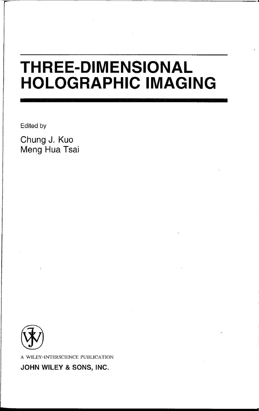## **THREE-DIMENSIONAL HOLOGRAPHIC IMAGING**

Edited by

r

**Chung J. Kuo Meng Hua Tsai** 



A WILEY-INTERSCIENCE PUBLICATION

**JOHN WILEY & SONS, INC.**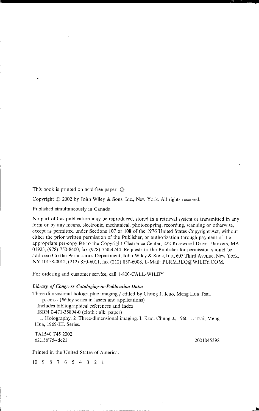This book is printed on acid-free paper. @

Copyright © 2002 by John Wiley & Sons, Inc., New York. All rights reserved.

Published simultaneously in Canada.

No part of this publication may be reproduced, stored in a retrieval system or transmitted in any form or by any means, electronic, mechanical, photocopying, recording, scanning or otherwise, except as permitted under Sections 107 or 108 of the 1976 United States Copyright Act, without either the prior written permission of the Publisher, or authorization through payment of the appropriate per-copy fee to the Copyright Clearance Center, 222 Rosewood Drive, Danvers, MA 01923, (978) 750-8400, fax (978) 750-4744. Requests to the Publisher for permission should be addressed to the Permissions Department, John Wiley & Sons, Inc., 605 Third Avenue, New York, NY 10158-0012, (212) 850-6011, fax (212) 850-6008, E-Mail: PERMREQ@WILEY.COM.

For ordering and customer service, call 1-800-CALL-WILEY

## *Library of Congress Cataloging-in-Publication Data:*

Three-dimensional holographic imaging / edited by Chung J. Kuo, Meng Hua Tsai.

p. cm.-- (Wiley series in lasers and applications)

Includes bibliographical references and index.

ISBN 0-471-35894-0 (cloth: alk. paper)

1. Holography. 2. Three-dimensional imaging. 1. Kuo, Chung J., 1960-II. Tsai, Meng Hua, 1969-III. Series.

TA1540.T452002 621.36'75--dc21

2001045392

ا ك

Printed in the United States of America.

10 9 8 7 6 5 4 3 2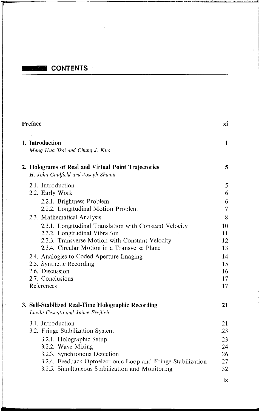## **CONTENTS**

| Preface |                                                                                                                                                                                                                                                                                                                         |                                                    |
|---------|-------------------------------------------------------------------------------------------------------------------------------------------------------------------------------------------------------------------------------------------------------------------------------------------------------------------------|----------------------------------------------------|
|         | 1. Introduction<br>Meng Hua Tsai and Chung J. Kuo                                                                                                                                                                                                                                                                       | 1                                                  |
|         | 2. Holograms of Real and Virtual Point Trajectories<br>H. John Caulfield and Joseph Shamir                                                                                                                                                                                                                              | 5                                                  |
|         | 2.1. Introduction<br>2.2. Early Work<br>2.2.1. Brightness Problem                                                                                                                                                                                                                                                       | 5<br>6<br>6                                        |
|         | 2.2.2. Longitudinal Motion Problem<br>2.3. Mathematical Analysis                                                                                                                                                                                                                                                        | $\overline{7}$<br>8                                |
|         | 2.3.1. Longitudinal Translation with Constant Velocity<br>2.3.2. Longitudinal Vibration<br>2.3.3. Transverse Motion with Constant Velocity<br>2.3.4. Circular Motion in a Transverse Plane<br>2.4. Analogies to Coded Aperture Imaging<br>2.5. Synthetic Recording<br>2.6. Discussion<br>2.7. Conclusions<br>References | 10<br>11<br>12<br>13<br>14<br>15<br>16<br>17<br>17 |
|         | 3. Self-Stabilized Real-Time Holographic Recording<br>Lucila Cescato and Jaime Frejlich                                                                                                                                                                                                                                 | 21                                                 |
|         | 3.1. Introduction<br>3.2. Fringe Stabilization System<br>3.2.1. Holographic Setup<br>3.2.2. Wave Mixing<br>3.2.3. Synchronous Detection<br>3.2.4. Feedback Optoelectronic Loop and Fringe Stabilization<br>3.2.5. Simultaneous Stabilization and Monitoring                                                             | 21<br>.23<br>23<br>24<br>26<br>27<br>32            |

**ix**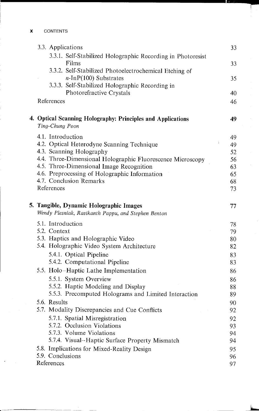| 3.3. Applications                                                                      | 33       |
|----------------------------------------------------------------------------------------|----------|
| 3.3.1. Self-Stabilized Holographic Recording in Photoresist                            |          |
| Films                                                                                  | 33       |
| 3.3.2. Self-Stabilized Photoelectrochemical Etching of                                 |          |
| $n$ -InP(100) Substrates                                                               | 35       |
| 3.3.3. Self-Stabilized Holographic Recording in                                        |          |
| Photorefractive Crystals                                                               | 40       |
| References                                                                             | 46       |
| 4. Optical Scanning Holography: Principles and Applications                            | 49       |
| Ting-Chung Poon                                                                        |          |
| 4.1. Introduction                                                                      | 49<br>ţ. |
| 4.2. Optical Heterodyne Scanning Technique                                             | 49       |
| 4.3. Scanning Holography<br>4.4. Three-Dimensional Holographic Fluorescence Microscopy | 52       |
| 4.5. Three-Dimensional Image Recognition                                               | 56<br>63 |
| 4.6. Preprocessing of Holographic Information                                          | 65       |
| 4.7. Conclusion Remarks                                                                | 68       |
| References                                                                             | 73       |
|                                                                                        |          |
| 5. Tangible, Dynamic Holographic Images                                                | 77       |
| Wendy Plesniak, Ravikanth Pappu, and Stephen Benton                                    |          |
| 5.1. Introduction                                                                      | 78       |
| 5.2. Context                                                                           | 79       |
| 5.3. Haptics and Holographic Video                                                     | 80       |
| 5.4. Holographic Video System Architecture                                             | 82       |
| 5.4.1. Optical Pipeline                                                                | 83       |
| 5.4.2. Computational Pipeline                                                          | 83       |
| 5.5. Holo-Haptic Lathe Implementation                                                  | 86       |
| 5.5.1. System Overview                                                                 | 86       |
| 5.5.2. Haptic Modeling and Display                                                     | 88       |
| 5.5.3. Precomputed Holograms and Limited Interaction                                   | 89       |
| 5.6. Results                                                                           | 90       |
| 5.7. Modality Discrepancies and Cue Conflicts                                          | 92       |
| 5.7.1. Spatial Misregistration                                                         | 92       |
| 5.7.2. Occlusion Violations                                                            | 93       |
| 5.7.3. Volume Violations                                                               | 94       |
| 5.7.4. Visual-Haptic Surface Property Mismatch                                         | 94       |
| 5.8. Implications for Mixed-Reality Design                                             | 95       |
| 5.9. Conclusions                                                                       | 96       |
| References                                                                             | 97       |

1-, -

.. J....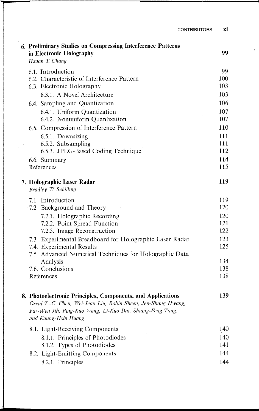CONTRIBUTORS **xi** 

|  | 6. Preliminary Studies on Compressing Interference Patterns<br>in Electronic Holography                                                                                                                           | 99         |
|--|-------------------------------------------------------------------------------------------------------------------------------------------------------------------------------------------------------------------|------------|
|  | Hsuan T. Chang                                                                                                                                                                                                    |            |
|  | 6.1. Introduction                                                                                                                                                                                                 | 99         |
|  | 6.2. Characteristic of Interference Pattern<br>6.3. Electronic Holography                                                                                                                                         | 100<br>103 |
|  | 6.3.1. A Novel Architecture                                                                                                                                                                                       | 103        |
|  |                                                                                                                                                                                                                   | 106        |
|  | 6.4. Sampling and Quantization                                                                                                                                                                                    | 107        |
|  | 6.4.1. Uniform Quantization<br>6.4.2. Nonuniform Quantization                                                                                                                                                     | 107        |
|  | 6.5. Compression of Interference Pattern                                                                                                                                                                          | 110        |
|  | 6.5.1. Downsizing                                                                                                                                                                                                 | 111        |
|  | 6.5.2. Subsampling                                                                                                                                                                                                | 111        |
|  | 6.5.3. JPEG-Based Coding Technique                                                                                                                                                                                | 112        |
|  | 6.6. Summary                                                                                                                                                                                                      | 114        |
|  | References                                                                                                                                                                                                        | 115        |
|  | 7. Holographic Laser Radar<br>Bradley W. Schilling                                                                                                                                                                | 119        |
|  | 7.1. Introduction                                                                                                                                                                                                 | 119        |
|  | 7.2. Background and Theory                                                                                                                                                                                        | 120        |
|  | 7.2.1. Holographic Recording                                                                                                                                                                                      | 120        |
|  | 7.2.2. Point Spread Function                                                                                                                                                                                      | 121        |
|  | 7.2.3. Image Reconstruction                                                                                                                                                                                       | 122        |
|  | 7.3. Experimental Breadboard for Holographic Laser Radar                                                                                                                                                          | 123        |
|  | 7.4. Experimental Results                                                                                                                                                                                         | 125        |
|  | 7.5. Advanced Numerical Techniques for Holographic Data                                                                                                                                                           | 134        |
|  | Analysis<br>7.6. Conclusions                                                                                                                                                                                      | 138        |
|  | References                                                                                                                                                                                                        | 138        |
|  | 8. Photoelectronic Principles, Components, and Applications<br>Oscal T.-C. Chen, Wei-Jean Liu, Robin Sheen, Jen-Shang Hwang,<br>Far-Wen Jih, Ping-Kuo Weng, Li-Kuo Dai, Shiang-Feng Tang,<br>and Kaung-Hsin Huang | 139        |
|  | 8.1. Light-Receiving Components                                                                                                                                                                                   | 140        |
|  | 8.1.1. Principles of Photodiodes                                                                                                                                                                                  | 140        |
|  | 8.1.2. Types of Photodiodes                                                                                                                                                                                       | 141        |
|  | 8.2. Light-Emitting Components                                                                                                                                                                                    | 144        |
|  | 8.2.1. Principles                                                                                                                                                                                                 | 144        |

l,